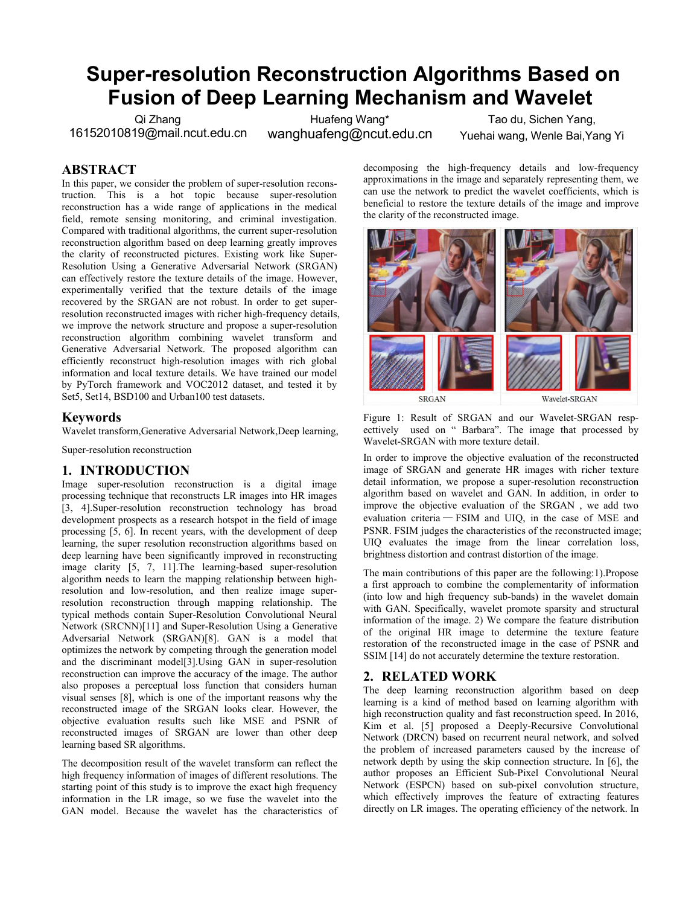# **Super-resolution Reconstruction Algorithms Based on Fusion of Deep Learning Mechanism and Wavelet**

Qi Zhang 16152010819@mail.ncut.edu.cn

Huafeng Wang\*wanghuafeng@ncut.edu.cn

Tao du, Sichen Yang, Yuehai wang, Wenle Bai,Yang Yi

# **ABSTRACT**

In this paper, we consider the problem of super-resolution reconstruction. This is a hot topic because super-resolution reconstruction has a wide range of applications in the medical field, remote sensing monitoring, and criminal investigation. Compared with traditional algorithms, the current super-resolution reconstruction algorithm based on deep learning greatly improves the clarity of reconstructed pictures. Existing work like Super- Resolution Using a Generative Adversarial Network (SRGAN) can effectively restore the texture details of the image. However, experimentally verified that the texture details of the image recovered by the SRGAN are not robust. In order to get superresolution reconstructed images with richer high-frequency details, we improve the network structure and propose a super-resolution reconstruction algorithm combining wavelet transform and Generative Adversarial Network. The proposed algorithm can efficiently reconstruct high-resolution images with rich global information and local texture details. We have trained our model by PyTorch framework and VOC2012 dataset, and tested it by Set5, Set14, BSD100 and Urban100 test datasets.

#### **Keywords**

Wavelet transform,Generative Adversarial Network,Deep learning,

#### Super-resolution reconstruction

#### **1. INTRODUCTION**

Image super-resolution reconstruction is a digital image processing technique that reconstructs LR images into HR images [3, 4]. Super-resolution reconstruction technology has broad development prospects as a research hotspot in the field of image processing [5, 6]. In recent years, with the development of deep learning, the super resolution reconstruction algorithms based on deep learning have been significantly improved in reconstructing image clarity [5, 7, 11].The learning-based super-resolution algorithm needs to learn the mapping relationship between highresolution and low-resolution, and then realize image superresolution reconstruction through mapping relationship. The typical methods contain Super-Resolution Convolutional Neural Network (SRCNN)[11] and Super-Resolution Using a Generative Adversarial Network (SRGAN)[8]. GAN is a model that optimizes the network by competing through the generation model and the discriminant model[3].Using GAN in super-resolution reconstruction can improve the accuracy of the image. The author also proposes a perceptual loss function that considers human visual senses [8], which is one of the important reasons why the reconstructed image of the SRGAN looks clear. However, the objective evaluation results such like MSE and PSNR of reconstructed images of SRGAN are lower than other deep learning based SR algorithms.

The decomposition result of the wavelet transform can reflect the high frequency information of images of different resolutions. The starting point of this study is to improve the exact high frequency information in the LR image, so we fuse the wavelet into the GAN model. Because the wavelet has the characteristics of decomposing the high-frequency details and low-frequency approximations in the image and separately representing them, we can use the network to predict the wavelet coefficients, which is beneficial to restore the texture details of the image and improve the clarity of the reconstructed image.



Figure 1: Result of SRGAN and our Wavelet-SRGAN resp ecttively used on "Barbara". The image that processed by Wavelet-SRGAN with more texture detail.

In order to improve the objective evaluation of the reconstructed image of SRGAN and generate HR images with richer texture detail information, we propose a super-resolution reconstruction algorithm based on wavelet and GAN. In addition, in order to improve the objective evaluation of the SRGAN , we add two evaluation criteria — FSIM and UIQ, in the case of MSE and PSNR. FSIM judges the characteristics of the reconstructed image; UIQ evaluates the image from the linear correlation loss, brightness distortion and contrast distortion of the image.

The main contributions of this paper are the following:1).Propose a first approach to combine the complementarity of information (into low and high frequency sub-bands) in the wavelet domain with GAN. Specifically, wavelet promote sparsity and structural information of the image. 2) We compare the feature distribution of the original HR image to determine the texture feature restoration of the reconstructed image in the case of PSNR and SSIM [14] do not accurately determine the texture restoration.

## **2. RELATED WORK**

The deep learning reconstruction algorithm based on deep learning is a kind of method based on learning algorithm with high reconstruction quality and fast reconstruction speed. In 2016, Kim et al. [5] proposed a Deeply-Recursive Convolutional Network (DRCN) based on recurrent neural network, and solved the problem of increased parameters caused by the increase of network depth by using the skip connection structure. In [6], the author proposes an Efficient Sub-Pixel Convolutional Neural Network (ESPCN) based on sub-pixel convolution structure, which effectively improves the feature of extracting features directly on LR images. The operating efficiency of the network. In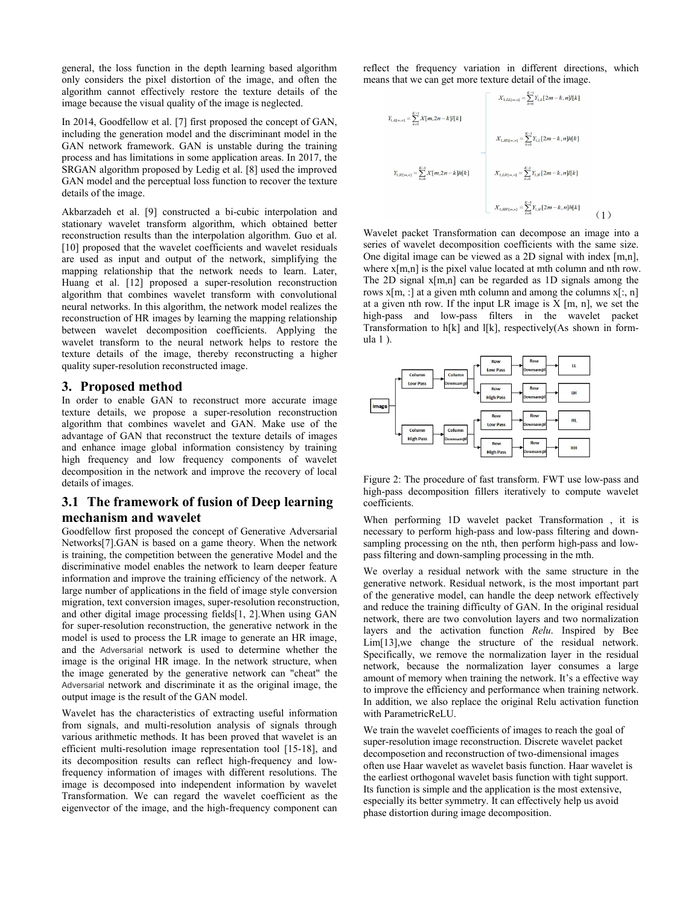general, the loss function in the depth learning based algorithm only considers the pixel distortion of the image, and often the algorithm cannot effectively restore the texture details of the image because the visual quality of the image is neglected.

In 2014, Goodfellow et al. [7] first proposed the concept of GAN, including the generation model and the discriminant model in the GAN network framework. GAN is unstable during the training process and has limitations in some application areas. In 2017, the SRGAN algorithm proposed by Ledig et al.[8] used the improved GAN model and the perceptual loss function to recover the texture details of the image.

Akbarzadeh et al. [9] constructed a bi-cubic interpolation and stationary wavelet transform algorithm, which obtained better reconstruction results than the interpolation algorithm. Guo et al. [10] proposed that the wavelet coefficients and wavelet residuals are used as input and output of the network, simplifying the mapping relationship that the network needs to learn. Later, Huang et al. [12] proposed a super-resolution reconstruction algorithm that combines wavelet transform with convolutional neural networks. In this algorithm, the network model realizes the reconstruction of HR images by learning the mapping relationship between wavelet decomposition coefficients. Applying the wavelet transform to the neural network helps to restore the texture details of the image, thereby reconstructing a higher quality super-resolution reconstructed image.

#### **3. Proposed method**

In order to enable GAN to reconstruct more accurate image  $\int_{\text{image}}$ texture details, we propose a super-resolution reconstruction algorithm that combines wavelet and GAN. Make use of the advantage of GAN that reconstruct the texture details of images and enhance image global information consistency by training high frequency and low frequency components of wavelet decomposition in the network and improve the recovery of local details of images.

## **3.1 The framework of fusion of Deep learning mechanism and wavelet**

Goodfellow first proposed the concept of Generative Adversarial Networks[7].GAN is based on a game theory. When the network is training, the competition between the generative Model and the discriminative model enables the network to learn deeper feature information and improve the training efficiency of the network. A large number of applications in the field of image style conversion migration, text conversion images, super-resolution reconstruction, and other digital image processing fields[1, 2].When using GAN for super-resolution reconstruction, the generative network in the model is used to process the LR image to generate an HR image, and the Adversarial network is used to determine whether the image is the original HR image. In the network structure, when the image generated by the generative network can "cheat" the Adversarial network and discriminate it as the original image, the output image is the result of the GAN model.

Wavelet has the characteristics of extracting useful information from signals, and multi-resolution analysis of signals through various arithmetic methods. It has been proved that wavelet is an efficient multi-resolution image representation tool [15-18], and its decomposition results can reflect high-frequency and lowfrequency information of images with different resolutions. The image is decomposed into independent information by wavelet Transformation. We can regard the wavelet coefficient as the eigenvector of the image, and the high-frequency component can reflect the frequency variation in different directions, which means that we can get more texture detail of the image.

$$
X_{1,LI(m,n)} = \sum_{k=0}^{K-1} X_{1,LI(m,n)} = \sum_{k=0}^{K-1} X_{1,L} [2m-k,n] I[k]
$$
  

$$
X_{1,JI(m,n)} = \sum_{k=0}^{K-1} X_{1,L} [2m-k,n] h[k]
$$
  

$$
X_{1,JI(m,n)} = \sum_{k=0}^{K-1} X_{1,m} [2m-k,n] I[k]
$$
  

$$
X_{1,JI(m,n)} = \sum_{k=0}^{K-1} X_{1,JI} [2m-k,n] I[k]
$$
  

$$
X_{1,JI(m,n)} = \sum_{k=0}^{K-1} X_{1,JI} [2m-k,n] h[k]
$$
  

$$
X_{1,JI(m,n)} = \sum_{k=0}^{K-1} X_{1,JI} [2m-k,n] h[k]
$$
 (1)

Wavelet packet Transformation can decompose an image into a series of wavelet decomposition coefficients with the same size. One digital image can be viewed as a 2D signal with index [m,n], where  $x[m,n]$  is the pixel value located at mth column and nth row. The 2D signal x[m,n] can be regarded as 1D signals among the rows  $x[m, :]$  at a given mth column and among the columns  $x[:, n]$ at a given nth row. If the input LR image is  $X$  [m, n], we set the high-pass and low-pass filters in the wavelet packet Transformation to h[k] and l[k], respectively(As shown in form ula 1 ).



Figure 2: The procedure of fast transform. FWT use low-pass and high-pass decomposition fillers iteratively to compute wavelet coefficients.

When performing 1D wavelet packet Transformation , it is necessary to perform high-pass and low-pass filtering and down sampling processing on the nth, then perform high-pass and lowpass filtering and down-sampling processing in the mth.

We overlay a residual network with the same structure in the generative network. Residual network, is the most important part of the generative model, can handle the deep network effectively and reduce the training difficulty of GAN. In the original residual network, there are two convolution layers and two normalization layers and the activation function *Relu*. Inspired by Bee Lim[13],we change the structure of the residual network. Specifically, we remove the normalization layer in the residual network, because the normalization layer consumes a large amount of memory when training the network. It's a effective way to improve the efficiency and performance when training network. In addition, we also replace the original Relu activation function with ParametricReLU.

We train the wavelet coefficients of images to reach the goal of super-resolution image reconstruction. Discrete wavelet packet decomposetion and reconstruction of two-dimensional images often use Haar wavelet as wavelet basis function. Haar wavelet is the earliest orthogonal wavelet basis function with tight support. Its function is simple and the application is the most extensive, especially its better symmetry. It can effectively help us avoid phase distortion during image decomposition.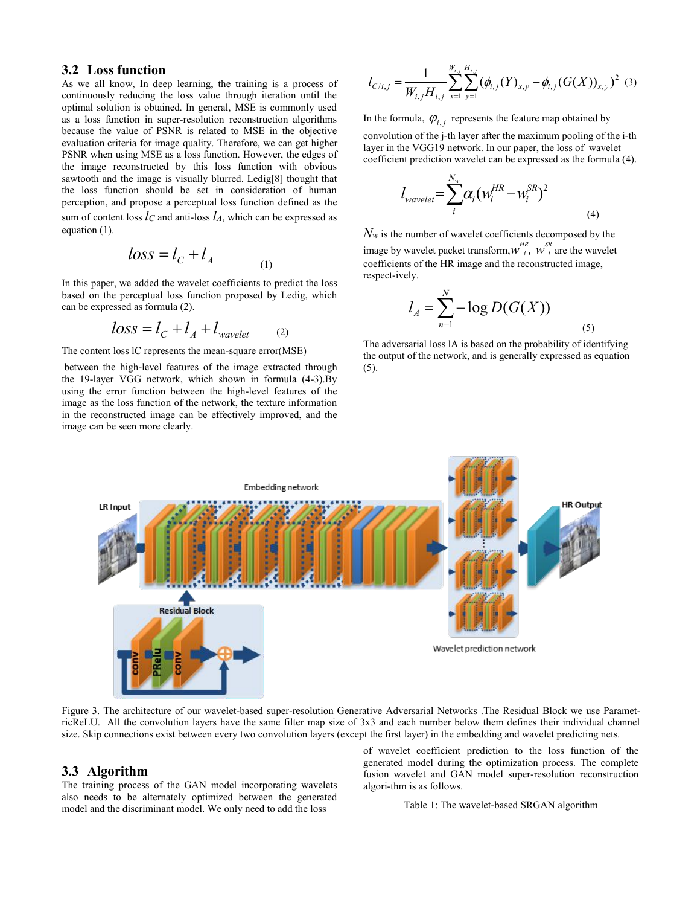#### **3.2 Loss function**

As we all know, In deep learning, the training is a process of continuously reducing the loss value through iteration until the optimal solution is obtained. In general, MSE is commonly used as a loss function in super-resolution reconstruction algorithms because the value of PSNR is related to MSE in the objective evaluation criteria for image quality. Therefore, we can get higher PSNR when using MSE as a loss function. However, the edges of the image reconstructed by this loss function with obvious sawtooth and the image is visually blurred. Ledig[8] thought that the loss function should be set in consideration of human perception, and propose a perceptual loss function defined as the sum of content loss  $l_c$  and anti-loss  $l_A$ , which can be expressed as equation (1).

$$
loss = l_C + l_A \tag{1}
$$

In this paper, we added the wavelet coefficients to predict the loss based on the perceptual loss function proposed by Ledig, which can be expressed as formula (2).

$$
loss = l_C + l_A + l_{wavelet} \qquad (2)
$$

The content loss lC represents the mean-square error(MSE)

between the high-level features of the image extracted through the 19-layer VGG network, which shown in formula (4-3).By using the error function between the high-level features of the image as the loss function of the network, the texture information in the reconstructed image can be effectively improved, and the image can be seen more clearly.

$$
l_{C/i,j} = \frac{1}{W_{i,j}H_{i,j}} \sum_{x=1}^{W_{i,j}} \sum_{y=1}^{H_{i,j}} (\phi_{i,j}(Y)_{x,y} - \phi_{i,j}(G(X))_{x,y})^2
$$
 (3)

In the formula,  $\varphi_{i,j}$  represents the feature map obtained by convolution of the j-th layer after the maximum pooling of the i-th layer in the VGG19 network. In our paper, the loss of wavelet coefficient prediction wavelet can be expressed as the formula (4).

$$
l_{wavelet} = \sum_{i}^{N_w} \alpha_i (w_i^{HR} - w_i^{SR})^2
$$
\n(4)

 $\log s = l_C + l_A$  image by wavelet packet transform,  $w_i^{HR}$ ,  $w_i^{SR}$  are the wavelet  $N_w$  is the number of wavelet coefficients decomposed by the coefficients of the HR image and the reconstructed image, respect-ively.

$$
l_A = \sum_{n=1}^{N} -\log D(G(X))
$$
 (5)

The adversarial loss lA is based on the probability of identifying the output of the network, and is generally expressed as equation (5).



Figure 3. The architecture of our wavelet-based super-resolution Generative Adversarial Networks .The Residual Block we use ParametricReLU. All the convolution layers have the same filter map size of 3x3 and each number below them defines their individual channel size. Skip connections exist between every two convolution layers (except the first layer) in the embedding and wavelet predicting nets.

#### **3.3 Algorithm**

The training process of the GAN model incorporating wavelets also needs to be alternately optimized between the generated model and the discriminant model. We only need to add the loss

of wavelet coefficient prediction to the loss function of the generated model during the optimization process. The complete fusion wavelet and GAN model super-resolution reconstruction algori-thm is as follows.

Table 1: The wavelet-based SRGAN algorithm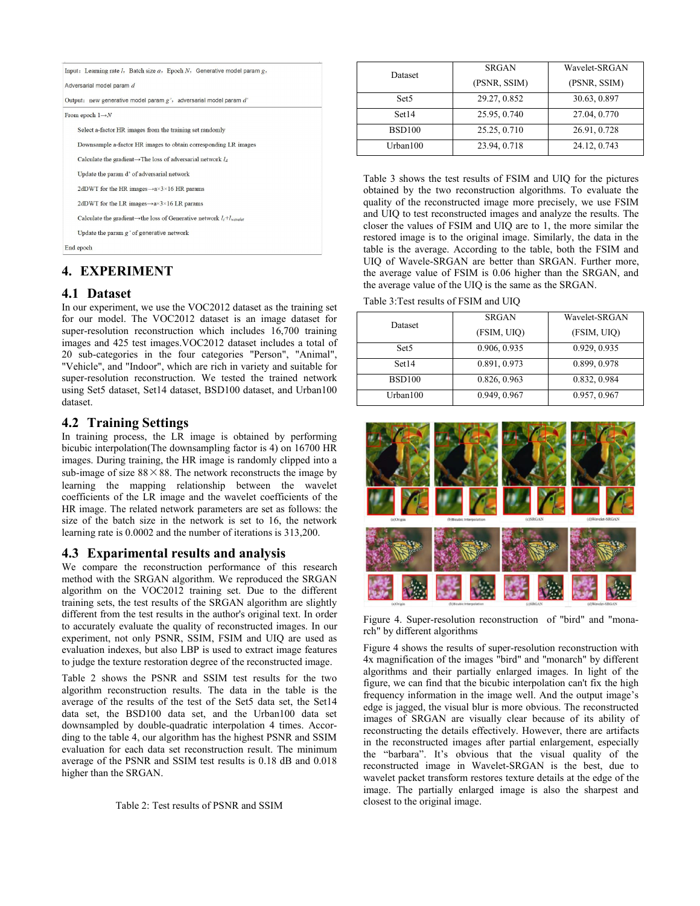|           | Input: Learning rate <i>l</i> , Batch size $a$ , Epoch <i>N</i> , Generative model param g, |
|-----------|---------------------------------------------------------------------------------------------|
|           | Adversarial model param d                                                                   |
|           | Output: new generative model param $g'$ , adversarial model param $d'$                      |
|           | From epoch $1 \rightarrow N$                                                                |
|           | Select a-factor HR images from the training set randomly                                    |
|           | Downsample a-factor HR images to obtain corresponding LR images                             |
|           | Calculate the gradient $\rightarrow$ The loss of adversarial network $l_A$                  |
|           | Update the param d' of adversarial network                                                  |
|           | 2dDWT for the HR images $\rightarrow$ a $\times$ 3 $\times$ 16 HR params                    |
|           | 2dDWT for the LR images $\rightarrow$ a $\times$ 3 $\times$ 16 LR params                    |
|           | Calculate the gradient $\rightarrow$ the loss of Generative network $l_c+l_{warelet}$       |
|           | Update the param $g'$ of generative network                                                 |
| End epoch |                                                                                             |

# **4. EXPERIMENT**

## **4.1 Dataset**

In our experiment, we use the VOC2012 dataset as the training set for our model. The VOC2012 dataset is an image dataset for super-resolution reconstruction which includes 16,700 training images and 425 test images.VOC2012 dataset includes a total of 20 sub-categories in the four categories "Person", "Animal", "Vehicle", and "Indoor", which are rich in variety and suitable for super-resolution reconstruction. We tested the trained network using Set5 dataset, Set14 dataset, BSD100 dataset, and Urban100 dataset.

## **4.2 Training Settings**

In training process, the LR image is obtained by performing bicubic interpolation(The downsampling factor is 4) on 16700 HR images. During training, the HR image is randomly clipped into a sub-image of size  $88 \times 88$ . The network reconstructs the image by learning the mapping relationship between the wavelet coefficients of the LR image and the wavelet coefficients of the HR image. The related network parameters are set as follows: the size of the batch size in the network is set to 16, the network learning rate is 0.0002 and the number of iterations is 313,200.

## **4.3 Exparimental results and analysis**

We compare the reconstruction performance of this research method with the SRGAN algorithm. We reproduced the SRGAN algorithm on the VOC2012 training set. Due to the different training sets, the test results of the SRGAN algorithm are slightly different from the test results in the author's original text. In order to accurately evaluate the quality of reconstructed images. In our experiment, not only PSNR, SSIM, FSIM and UIQ are used as evaluation indexes, but also LBP is used to extract image features to judge the texture restoration degree of the reconstructed image.

Table 2 shows the PSNR and SSIM test results for the two algorithm reconstruction results. The data in the table is the average of the results of the test of the Set5 data set, the Set14 data set, the BSD100 data set, and the Urban100 data set downsampled by double-quadratic interpolation 4 times. Accor ding to the table 4, our algorithm has the highest PSNR and SSIM evaluation for each data set reconstruction result. The minimum average of the PSNR and SSIM test results is 0.18 dB and 0.018 higher than the SRGAN.

Table 2: Test results of PSNR and SSIM

| Dataset          | <b>SRGAN</b> | Wavelet-SRGAN |
|------------------|--------------|---------------|
|                  | (PSNR, SSIM) | (PSNR, SSIM)  |
| Set <sub>5</sub> | 29.27, 0.852 | 30.63, 0.897  |
| Set14            | 25.95, 0.740 | 27.04, 0.770  |
| <b>BSD100</b>    | 25.25, 0.710 | 26.91, 0.728  |
| Urban100         | 23.94, 0.718 | 24.12, 0.743  |

Table 3 shows the test results of FSIM and UIQ for the pictures obtained by the two reconstruction algorithms. To evaluate the quality of the reconstructed image more precisely, we use FSIM and UIQ to test reconstructed images and analyze the results. The closer the values of FSIM and UIQ are to 1, the more similar the restored image is to the original image. Similarly, the data in the table is the average. According to the table, both the FSIM and UIQ of Wavele-SRGAN are better than SRGAN. Further more, the average value of FSIM is 0.06 higher than the SRGAN, and the average value of the UIQ is the same as the SRGAN.

#### Table 3:Test results of FSIM and UIQ

| Dataset          | <b>SRGAN</b> | Wavelet-SRGAN |
|------------------|--------------|---------------|
|                  | (FSIM, UIQ)  | (FSIM, UIQ)   |
| Set <sub>5</sub> | 0.906, 0.935 | 0.929, 0.935  |
| Set14            | 0.891, 0.973 | 0.899, 0.978  |
| <b>BSD100</b>    | 0.826, 0.963 | 0.832, 0.984  |
| Urban $100$      | 0.949, 0.967 | 0.957, 0.967  |



Figure 4. Super-resolution reconstruction of "bird" and "monarch" by different algorithms

Figure 4 shows the results of super-resolution reconstruction with 4x magnification of the images "bird" and "monarch" by different algorithms and their partially enlarged images. In light of the figure, we can find that the bicubic interpolation can't fix the high frequency information in the image well. And the output image's edge is jagged, the visual blur is more obvious. The reconstructed images of SRGAN are visually clear because of its ability of reconstructing the details effectively. However, there are artifacts in the reconstructed images after partial enlargement, especially the "barbara". It's obvious that the visual quality of the reconstructed image in Wavelet-SRGAN is the best, due to wavelet packet transform restores texture details at the edge of the image. The partially enlarged image is also the sharpest and closest to the original image.